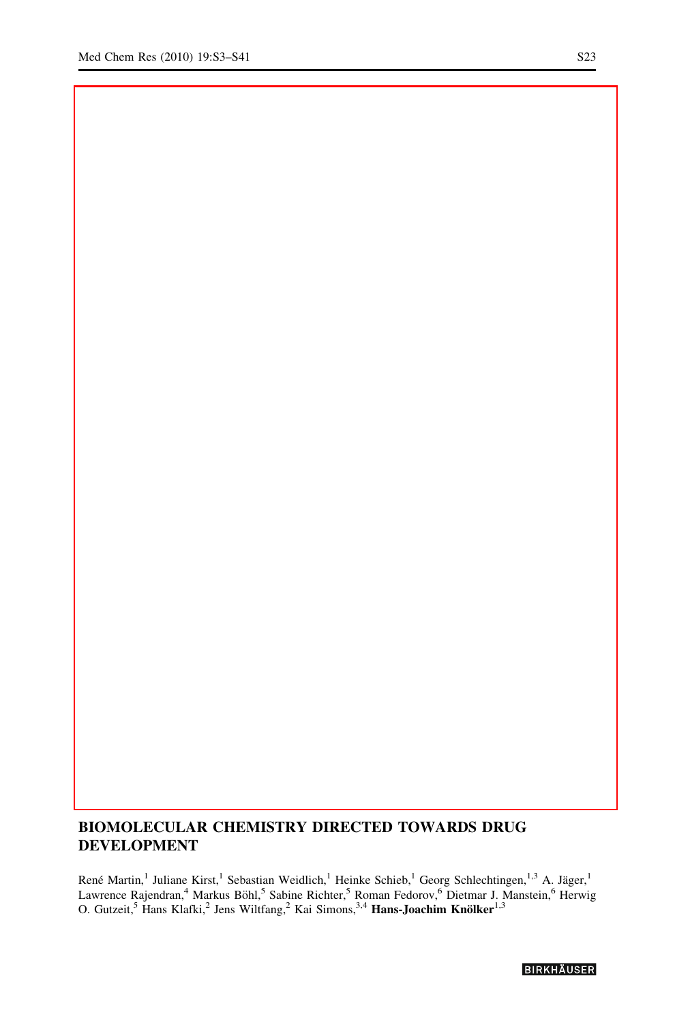## BIOMOLECULAR CHEMISTRY DIRECTED TOWARDS DRUG DEVELOPMENT

René Martin,<sup>1</sup> Juliane Kirst,<sup>1</sup> Sebastian Weidlich,<sup>1</sup> Heinke Schieb,<sup>1</sup> Georg Schlechtingen,<sup>1,3</sup> A. Jäger,<sup>1</sup> Lawrence Rajendran,<sup>4</sup> Markus Böhl,<sup>5</sup> Sabine Richter,<sup>5</sup> Roman Fedorov,<sup>6</sup> Dietmar J. Manstein,<sup>6</sup> Herwig O. Gutzeit,<sup>5</sup> Hans Klafki,<sup>2</sup> Jens Wiltfang,<sup>2</sup> Kai Simons,<sup>3,4</sup> Hans-Joachim Knölker<sup>1,3</sup>

**BIRKHAUSER**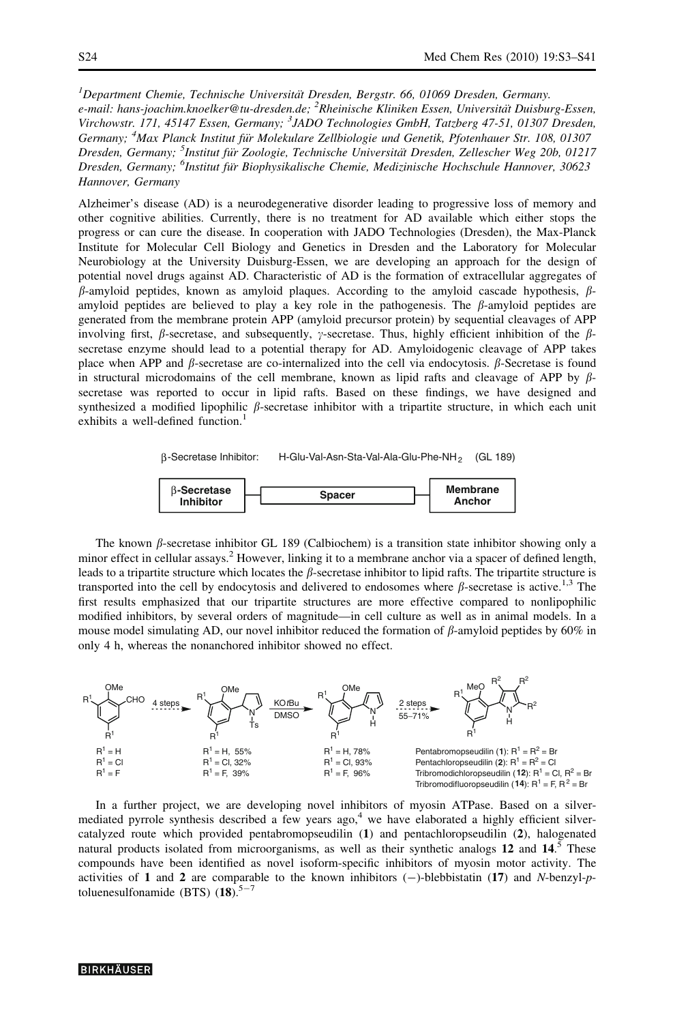<sup>1</sup>Department Chemie, Technische Universität Dresden, Bergstr. 66, 01069 Dresden, Germany. e-mail: hans-joachim.knoelker@tu-dresden.de; <sup>2</sup>Rheinische Kliniken Essen, Universität Duisburg-Essen, Virchowstr. 171, 45147 Essen, Germany; <sup>3</sup>JADO Technologies GmbH, Tatzberg 47-51, 01307 Dresden, Germany; <sup>4</sup>Max Planck Institut für Molekulare Zellbiologie und Genetik, Pfotenhauer Str. 108, 01307 Dresden, Germany; <sup>5</sup>Institut für Zoologie, Technische Universität Dresden, Zellescher Weg 20b, 01217 Dresden, Germany; <sup>6</sup>Institut für Biophysikalische Chemie, Medizinische Hochschule Hannover, 30623 Hannover, Germany

Alzheimer's disease (AD) is a neurodegenerative disorder leading to progressive loss of memory and other cognitive abilities. Currently, there is no treatment for AD available which either stops the progress or can cure the disease. In cooperation with JADO Technologies (Dresden), the Max-Planck Institute for Molecular Cell Biology and Genetics in Dresden and the Laboratory for Molecular Neurobiology at the University Duisburg-Essen, we are developing an approach for the design of potential novel drugs against AD. Characteristic of AD is the formation of extracellular aggregates of  $\beta$ -amyloid peptides, known as amyloid plaques. According to the amyloid cascade hypothesis,  $\beta$ amyloid peptides are believed to play a key role in the pathogenesis. The  $\beta$ -amyloid peptides are generated from the membrane protein APP (amyloid precursor protein) by sequential cleavages of APP involving first,  $\beta$ -secretase, and subsequently,  $\gamma$ -secretase. Thus, highly efficient inhibition of the  $\beta$ secretase enzyme should lead to a potential therapy for AD. Amyloidogenic cleavage of APP takes place when APP and  $\beta$ -secretase are co-internalized into the cell via endocytosis.  $\beta$ -Secretase is found in structural microdomains of the cell membrane, known as lipid rafts and cleavage of APP by  $\beta$ secretase was reported to occur in lipid rafts. Based on these findings, we have designed and synthesized a modified lipophilic  $\beta$ -secretase inhibitor with a tripartite structure, in which each unit exhibits a well-defined function.<sup>1</sup>



The known  $\beta$ -secretase inhibitor GL 189 (Calbiochem) is a transition state inhibitor showing only a minor effect in cellular assays.<sup>2</sup> However, linking it to a membrane anchor via a spacer of defined length, leads to a tripartite structure which locates the  $\beta$ -secretase inhibitor to lipid rafts. The tripartite structure is transported into the cell by endocytosis and delivered to endosomes where  $\beta$ -secretase is active.<sup>1,3</sup> The first results emphasized that our tripartite structures are more effective compared to nonlipophilic modified inhibitors, by several orders of magnitude—in cell culture as well as in animal models. In a mouse model simulating AD, our novel inhibitor reduced the formation of  $\beta$ -amyloid peptides by 60% in only 4 h, whereas the nonanchored inhibitor showed no effect.



In a further project, we are developing novel inhibitors of myosin ATPase. Based on a silvermediated pyrrole synthesis described a few years ago,<sup>4</sup> we have elaborated a highly efficient silvercatalyzed route which provided pentabromopseudilin (1) and pentachloropseudilin (2), halogenated natural products isolated from microorganisms, as well as their synthetic analogs 12 and  $14<sup>5</sup>$  These compounds have been identified as novel isoform-specific inhibitors of myosin motor activity. The activities of 1 and 2 are comparable to the known inhibitors  $(-)$ -blebbistatin (17) and N-benzyl-ptoluenesulfonamide (BTS)  $(18)$ .<sup>5-7</sup>

## **BIRKHÄUSER**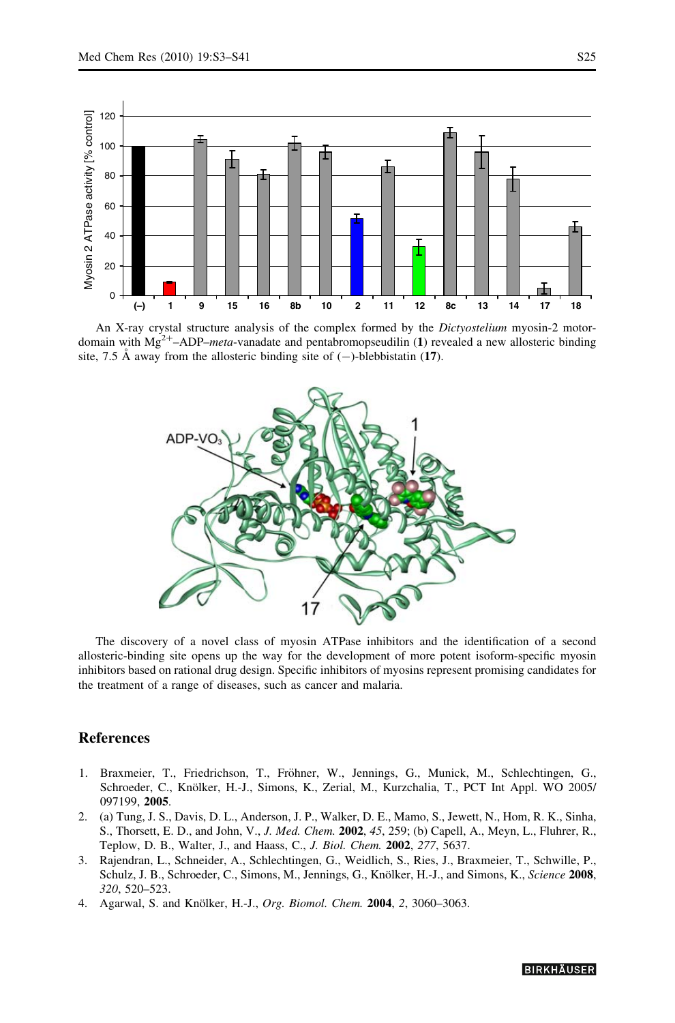

An X-ray crystal structure analysis of the complex formed by the Dictyostelium myosin-2 motordomain with  $Mg^{2+}$ –ADP–*meta*-vanadate and pentabromopseudilin (1) revealed a new allosteric binding site, 7.5 Å away from the allosteric binding site of  $(-)$ -blebbistatin (17).



The discovery of a novel class of myosin ATPase inhibitors and the identification of a second allosteric-binding site opens up the way for the development of more potent isoform-specific myosin inhibitors based on rational drug design. Specific inhibitors of myosins represent promising candidates for the treatment of a range of diseases, such as cancer and malaria.

## References

- 1. Braxmeier, T., Friedrichson, T., Fröhner, W., Jennings, G., Munick, M., Schlechtingen, G., Schroeder, C., Knölker, H.-J., Simons, K., Zerial, M., Kurzchalia, T., PCT Int Appl. WO 2005/ 097199, 2005.
- 2. (a) Tung, J. S., Davis, D. L., Anderson, J. P., Walker, D. E., Mamo, S., Jewett, N., Hom, R. K., Sinha, S., Thorsett, E. D., and John, V., J. Med. Chem. 2002, 45, 259; (b) Capell, A., Meyn, L., Fluhrer, R., Teplow, D. B., Walter, J., and Haass, C., J. Biol. Chem. 2002, 277, 5637.
- 3. Rajendran, L., Schneider, A., Schlechtingen, G., Weidlich, S., Ries, J., Braxmeier, T., Schwille, P., Schulz, J. B., Schroeder, C., Simons, M., Jennings, G., Knölker, H.-J., and Simons, K., Science 2008, 320, 520–523.
- 4. Agarwal, S. and Knölker, H.-J., Org. Biomol. Chem. 2004, 2, 3060-3063.